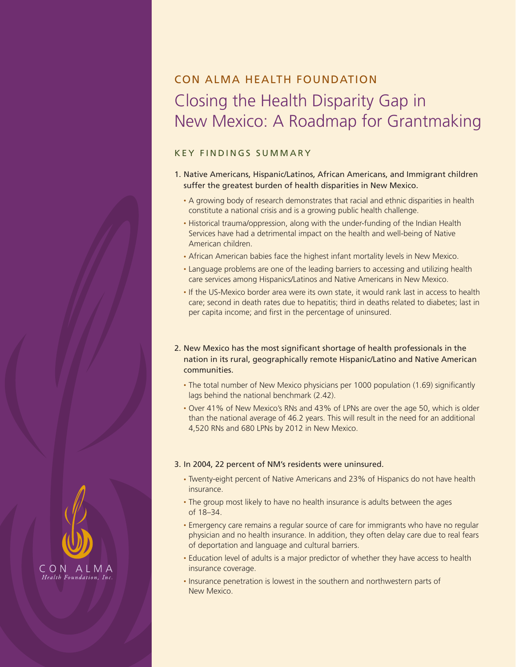# Con Alma Health Foundation Closing the Health Disparity Gap in New Mexico: A Roadmap for Grantmaking

## KEY FINDINGS SUMMARY

- 1. Native Americans, Hispanic/Latinos, African Americans, and Immigrant children suffer the greatest burden of health disparities in New Mexico.
	- A growing body of research demonstrates that racial and ethnic disparities in health constitute a national crisis and is a growing public health challenge.
	- Historical trauma/oppression, along with the under-funding of the Indian Health Services have had a detrimental impact on the health and well-being of Native American children.
	- African American babies face the highest infant mortality levels in New Mexico.
	- Language problems are one of the leading barriers to accessing and utilizing health care services among Hispanics/Latinos and Native Americans in New Mexico.
	- If the US-Mexico border area were its own state, it would rank last in access to health care; second in death rates due to hepatitis; third in deaths related to diabetes; last in per capita income; and first in the percentage of uninsured.
- 2. New Mexico has the most significant shortage of health professionals in the nation in its rural, geographically remote Hispanic/Latino and Native American communities.
	- The total number of New Mexico physicians per 1000 population (1.69) significantly lags behind the national benchmark (2.42).
	- Over 41% of New Mexico's RNs and 43% of LPNs are over the age 50, which is older than the national average of 46.2 years. This will result in the need for an additional 4,520 RNs and 680 LPNs by 2012 in New Mexico.

#### 3. In 2004, 22 percent of NM's residents were uninsured.

- Twenty-eight percent of Native Americans and 23% of Hispanics do not have health insurance.
- The group most likely to have no health insurance is adults between the ages of 18–34.
- Emergency care remains a regular source of care for immigrants who have no regular physician and no health insurance. In addition, they often delay care due to real fears of deportation and language and cultural barriers.
- Education level of adults is a major predictor of whether they have access to health insurance coverage.
- Insurance penetration is lowest in the southern and northwestern parts of New Mexico.